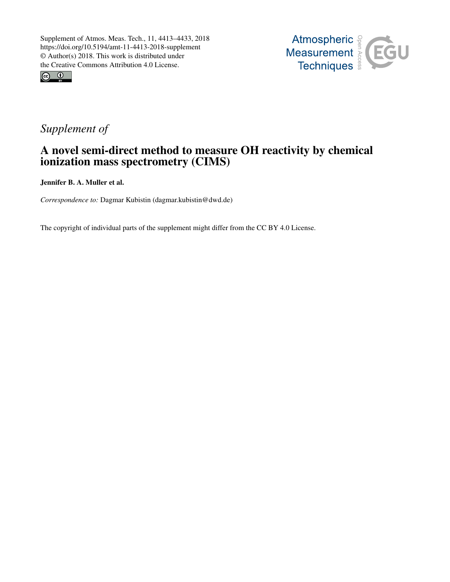



## *Supplement of*

## A novel semi-direct method to measure OH reactivity by chemical ionization mass spectrometry (CIMS)

Jennifer B. A. Muller et al.

*Correspondence to:* Dagmar Kubistin (dagmar.kubistin@dwd.de)

The copyright of individual parts of the supplement might differ from the CC BY 4.0 License.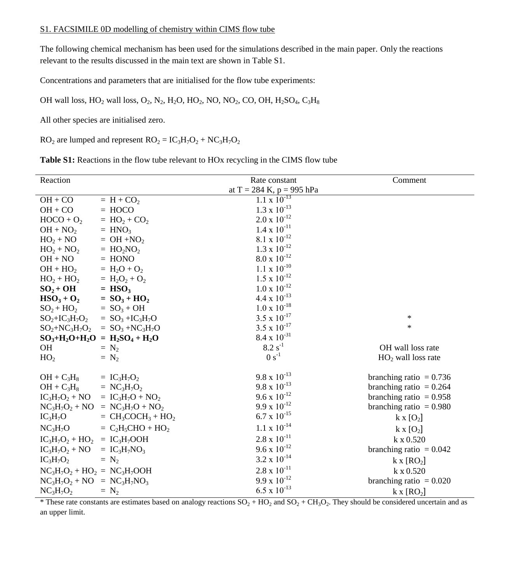## S1. FACSIMILE 0D modelling of chemistry within CIMS flow tube

The following chemical mechanism has been used for the simulations described in the main paper. Only the reactions relevant to the results discussed in the main text are shown in Table S1.

Concentrations and parameters that are initialised for the flow tube experiments:

OH wall loss,  $HO_2$  wall loss,  $O_2$ ,  $N_2$ ,  $H_2O$ ,  $HO_2$ ,  $NO$ ,  $NO_2$ ,  $CO$ ,  $OH$ ,  $H_2SO_4$ ,  $C_3H_8$ 

All other species are initialised zero.

 $RO<sub>2</sub>$  are lumped and represent  $RO<sub>2</sub> = IC<sub>3</sub>H<sub>7</sub>O<sub>2</sub> + NC<sub>3</sub>H<sub>7</sub>O<sub>2</sub>$ 

| Reaction                                                      |                                     | Rate constant                 | Comment                   |
|---------------------------------------------------------------|-------------------------------------|-------------------------------|---------------------------|
|                                                               |                                     | at $T = 284$ K, $p = 995$ hPa |                           |
| $OH + CO$                                                     | $= H + CO2$                         | $1.1 \times 10^{-13}$         |                           |
| $OH + CO$                                                     | $= HOCO$                            | $1.3 \times 10^{-13}$         |                           |
| $HOCO + O2$                                                   | $= HO2 + CO2$                       | $2.0 \times 10^{-12}$         |                           |
| $OH + NO2$                                                    | $=$ HNO <sub>3</sub>                | $1.4 \times 10^{-11}$         |                           |
| $HO2 + NO$                                                    | $= OH + NO2$                        | $8.1 \times 10^{-12}$         |                           |
| $HO_2 + NO_2$                                                 | $= HO_2NO_2$                        | $1.3 \times 10^{-12}$         |                           |
| $OH + NO$                                                     | $=$ HONO                            | $8.0 \times 10^{-12}$         |                           |
| $OH + HO2$                                                    | $= H_2O + O_2$                      | $1.1 \ge 10^{-10}$            |                           |
| $HO_2 + HO_2$                                                 | $= H_2O_2 + O_2$                    | $1.5 \times 10^{-12}$         |                           |
| $SO_2+OH$                                                     | $=$ HSO <sub>3</sub>                | $1.0 \times 10^{-12}$         |                           |
| $HSO_3 + O_2$                                                 | $= SO_3 + HO_2$                     | $4.4 \times 10^{-13}$         |                           |
| $SO_2 + HO_2$ = $SO_3 + OH$                                   |                                     | $1.0 \ge 10^{-18}$            |                           |
|                                                               | $SO_2+IC_3H_7O_2 = SO_3+IC_3H_7O$   | $3.5 \times 10^{-17}$         | $\ast$                    |
|                                                               | $SO_2+NC_3H_7O_2 = SO_3 + NC_3H_7O$ | $3.5 \times 10^{-17}$         | $\ast$                    |
|                                                               | $SO_3+H_2O+H_2O = H_2SO_4 + H_2O$   | $8.4 \times 10^{-31}$         |                           |
| <b>OH</b>                                                     | $= N2$                              | $8.2 s^{-1}$                  | OH wall loss rate         |
| HO <sub>2</sub>                                               | $= N_2$                             | $0 s^{-1}$                    | $HO2$ wall loss rate      |
| $OH + C_3H_8 = IC_3H_7O_2$                                    |                                     | $9.8 \times 10^{-13}$         | branching ratio $= 0.736$ |
| $OH + C_3H_8$ = NC <sub>3</sub> H <sub>7</sub> O <sub>2</sub> |                                     | $9.8 \times 10^{-13}$         | branching ratio $= 0.264$ |
|                                                               | $IC_3H_7O_2 + NO = IC_3H_7O + NO_2$ | $9.6 \times 10^{-12}$         | branching ratio $= 0.958$ |
|                                                               | $NC_3H_7O_2 + NO = NC_3H_7O + NO_2$ | $9.9 \times 10^{-12}$         | branching ratio $= 0.980$ |
| $IC_3H_7O$                                                    | $= CH3COCH3 + HO2$                  | 6.7 x $10^{-15}$              | $k \times [O_2]$          |
| $NC_3H_7O$                                                    | $= C2H5CHO + HO2$                   | $1.1 \ge 10^{-14}$            | $k \times [O_2]$          |
| $IC_3H_7O_2 + HO_2 = IC_3H_7OOH$                              |                                     | $2.8 \times 10^{-11}$         | $k \times 0.520$          |
| $IC_3H_7O_2 + NO = IC_3H_7NO_3$                               |                                     | $9.6 \times 10^{-12}$         | branching ratio $= 0.042$ |
| $IC_3H_7O_2$                                                  | $= N_{2}$                           | $3.2 \times 10^{-14}$         | $k \times [RO2]$          |
| $NC_3H_7O_2 + HO_2 = NC_3H_7OOH$                              |                                     | $2.8 \times 10^{-11}$         | $k \times 0.520$          |
| $NC_3H_7O_2 + NO = NC_3H_7NO_3$                               |                                     | $9.9 \times 10^{-12}$         | branching ratio $= 0.020$ |
| $NC_3H_7O_2$                                                  | $= N2$                              | $6.5 \times 10^{-13}$         | $k \times [RO2]$          |

\* These rate constants are estimates based on analogy reactions  $SO_2 + HO_2$  and  $SO_2 + CH_3O_2$ . They should be considered uncertain and as an upper limit.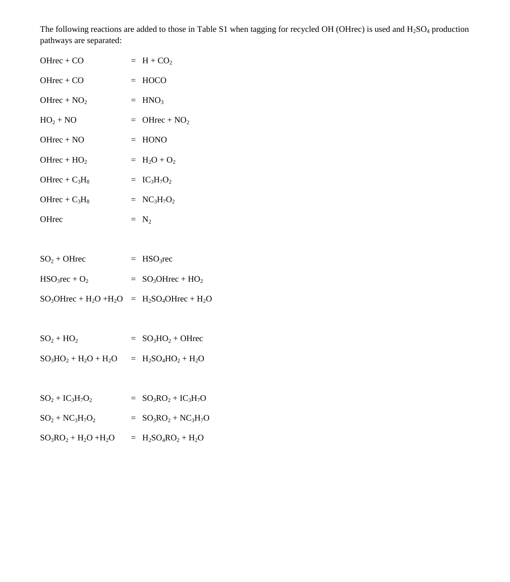The following reactions are added to those in Table S1 when tagging for recycled OH (OHrec) is used and  $H_2SO_4$  production pathways are separated:

| $OHrec + CO$     | $= H + CO2$                 |
|------------------|-----------------------------|
| $OHrec + CO$     | $= HOCO$                    |
| OHrec + $NO2$    | $=$ HNO <sub>3</sub>        |
| $HO_2 + NO$      | $=$ OHrec + NO <sub>2</sub> |
| $OHrec + NO$     | $=$ HONO                    |
| OHrec + $HO2$    | $= H_2O + O_2$              |
| OHrec + $C_3H_8$ | $= IC_3H_7O_2$              |
| OHrec + $C_3H_8$ | $= NC3H7O2$                 |
| OHrec            | $= N_2$                     |

| $SO_2 + OHrec$                                                                                               | $=$ HSO <sub>3</sub> rec |
|--------------------------------------------------------------------------------------------------------------|--------------------------|
| $HSO_3$ rec + $O_2$                                                                                          | $= SO3OHrec + HO2$       |
| $SO_3$ OHrec + H <sub>2</sub> O + H <sub>2</sub> O = H <sub>2</sub> SO <sub>4</sub> OHrec + H <sub>2</sub> O |                          |

| $SO_2 + HO_2$            | $= SO3HO2 + OHrec$     |
|--------------------------|------------------------|
| $SO_3HO_2 + H_2O + H_2O$ | $= H_2SO_4HO_2 + H_2O$ |

| $SO_2 + IC_3H_7O_2$      | $= SO_3RO_2 + IC_3H_7O$ |
|--------------------------|-------------------------|
| $SO_2 + NC_3H_7O_2$      | $= SO_3RO_2 + NC_3H_7O$ |
| $SO_3RO_2 + H_2O + H_2O$ | $= H_2SO_4RO_2 + H_2O$  |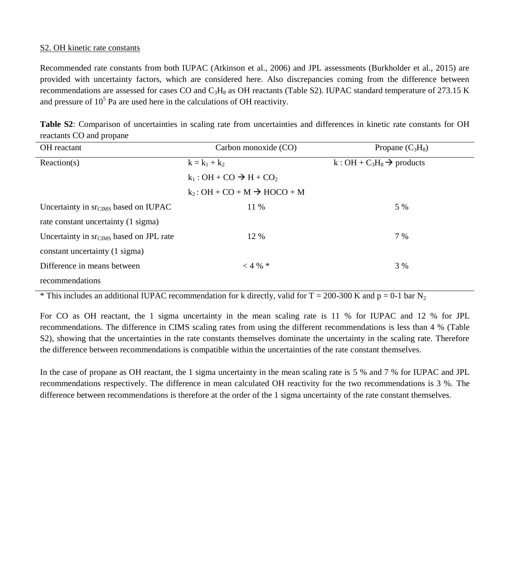## S2. OH kinetic rate constants

Recommended rate constants from both IUPAC (Atkinson et al., 2006) and JPL assessments (Burkholder et al., 2015) are provided with uncertainty factors, which are considered here. Also discrepancies coming from the difference between recommendations are assessed for cases CO and  $C_3H_8$  as OH reactants (Table S2). IUPAC standard temperature of 273.15 K and pressure of  $10<sup>5</sup>$  Pa are used here in the calculations of OH reactivity.

**Table S2**: Comparison of uncertainties in scaling rate from uncertainties and differences in kinetic rate constants for OH reactants CO and propane

| OH reactant                                         | Carbon monoxide (CO)                              | Propane $(C_3H_8)$                    |
|-----------------------------------------------------|---------------------------------------------------|---------------------------------------|
| Reaction(s)                                         | $k = k_1 + k_2$                                   | $k: OH + C_3H_8 \rightarrow$ products |
|                                                     | $k_1$ : OH + CO $\rightarrow$ H + CO <sub>2</sub> |                                       |
|                                                     | $k_2$ : OH + CO + M $\rightarrow$ HOCO + M        |                                       |
| Uncertainty in $srCIMS$ based on IUPAC              | 11 %                                              | 5 %                                   |
| rate constant uncertainty (1 sigma)                 |                                                   |                                       |
| Uncertainty in sr <sub>CIMS</sub> based on JPL rate | 12 %                                              | 7 %                                   |
| constant uncertainty (1 sigma)                      |                                                   |                                       |
| Difference in means between                         | $<$ 4 % $*$                                       | 3 %                                   |
| recommendations                                     |                                                   |                                       |

\* This includes an additional IUPAC recommendation for k directly, valid for  $T = 200-300$  K and  $p = 0-1$  bar N<sub>2</sub>

For CO as OH reactant, the 1 sigma uncertainty in the mean scaling rate is 11 % for IUPAC and 12 % for JPL recommendations. The difference in CIMS scaling rates from using the different recommendations is less than 4 % (Table S2), showing that the uncertainties in the rate constants themselves dominate the uncertainty in the scaling rate. Therefore the difference between recommendations is compatible within the uncertainties of the rate constant themselves.

In the case of propane as OH reactant, the 1 sigma uncertainty in the mean scaling rate is 5 % and 7 % for IUPAC and JPL recommendations respectively. The difference in mean calculated OH reactivity for the two recommendations is 3 %. The difference between recommendations is therefore at the order of the 1 sigma uncertainty of the rate constant themselves.